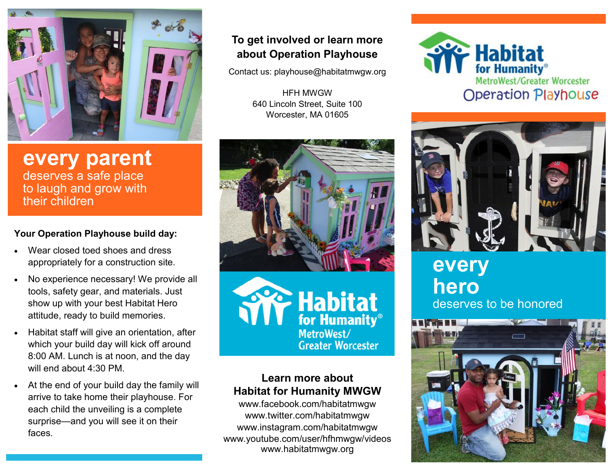

**every parent** deserves a safe place to laugh and grow with their children

### **Your Operation Playhouse build day:**

- Wear closed toed shoes and dress appropriately for a construction site.
- No experience necessary! We provide all tools, safety gear, and materials. Just show up with your best Habitat Hero attitude, ready to build memories.
- Habitat staff will give an orientation, after which your build day will kick off around 8:00 AM. Lunch is at noon, and the day will end about 4:30 PM.
- At the end of your build day the family will arrive to take home their playhouse. For each child the unveiling is a complete surprise—and you will see it on their faces.

## **To get involved or learn more about Operation Playhouse**

Contact us: playhouse@habitatmwgw.org

HFH MWGW 640 Lincoln Street, Suite 100 Worcester, MA 01605



F Habitat MetroWest/ **Greater Worcester** 

### **Learn more about Habitat for Humanity MWGW**

www.facebook.com/habitatmwgw www.twitter.com/habitatmwgw www.instagram.com/habitatmwgw www.youtube.com/user/hfhmwgw/videos www.habitatmwgw.org





# **every hero** deserves to be honored